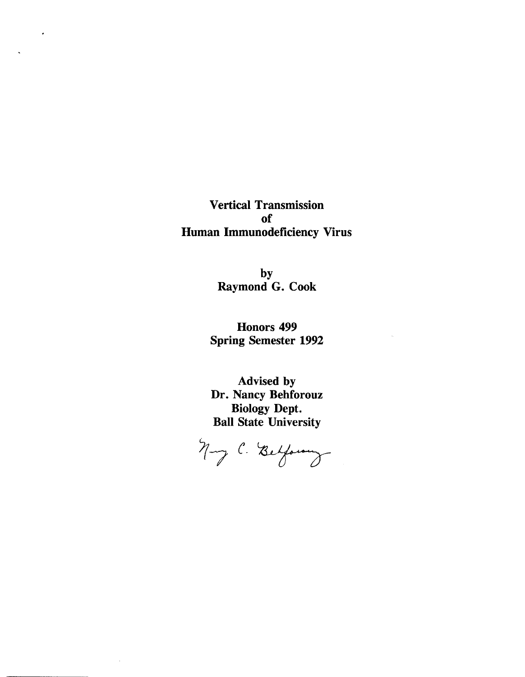Vertical Transmission of Human Immunodeficiency Virus

 $\bullet$ 

by Raymond G. Cook

Honors 499 Spring Semester 1992

Advised by Dr. Nancy Behforouz Biology Dept. Ball State University

Nong C. Belforning

 $\sim$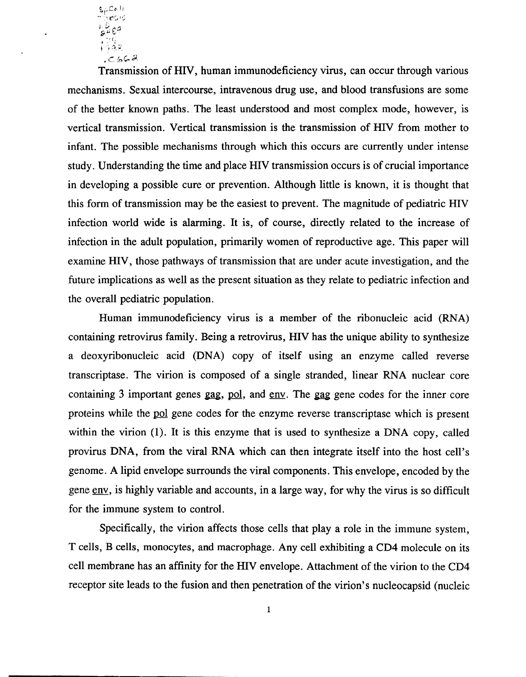*S1'Cc.* II ~, "-"'; r(J r:;  $1342$  $c.662$ 

Transmission of HIV, human immunodeficiency virus, can occur through various mechanisms. Sexual intercourse, intravenous drug use, and blood transfusions are some of the better known paths. The least understood and most complex mode, however, is vertical transmission. Vertical transmission is the transmission of HIV from mother to infant. The possible mechanisms through which this occurs are currently under intense study. Understanding the time and place HIV transmission occurs is of crucial importance in developing a possible cure or prevention. Although little is known, it is thought that this form of transmission may be the easiest to prevent. The magnitude of pediatric HIV infection world wide is alarming. It is, of course, directly related to the increase of infection in the adult population, primarily women of reproductive age. This paper will examine HIV, those pathways of transmission that are under acute investigation, and the future implications as well as the present situation as they relate to pediatric infection and the overall pediatric population.

Human immunodeficiency virus is a member of the ribonucleic acid (RNA) containing retrovirus family. Being a retrovirus, HIV has the unique ability to synthesize a deoxyribonucleic acid (DNA) copy of itself using an enzyme called reverse transcriptase. The virion is composed of a single stranded, linear RNA nuclear core containing 3 important genes gag, pol, and env. The gag gene codes for the inner core proteins while the pol gene codes for the enzyme reverse transcriptase which is present within the virion (1). It is this enzyme that is used to synthesize a DNA copy, called provirus DNA, from the viral RNA which can then integrate itself into the host cell's genome. A lipid envelope surrounds the viral components. This envelope, encoded by the gene env, is highly variable and accounts, in a large way, for why the virus is so difficult for the immune system to control.

Specifically, the virion affects those cells that playa role in the immune system, T cells, B cells, monocytes, and macrophage. Any cell exhibiting a CD4 molecule on its cell membrane has an affinity for the HIV envelope. Attachment of the virion to the CD4 receptor site leads to the fusion and then penetration of the virion's nucleocapsid (nucleic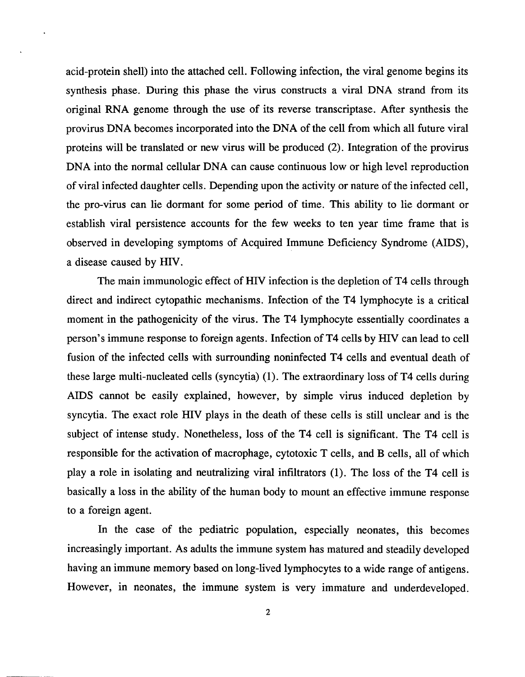acid-protein shell) into the attached cell. Following infection, the viral genome begins its synthesis phase. During this phase the virus constructs a viral DNA strand from its original RNA genome through the use of its reverse transcriptase. After synthesis the provirus DNA becomes incorporated into the DNA of the cell from which all future viral proteins will be translated or new virus will be produced (2). Integration of the provirus DNA into the normal cellular DNA can cause continuous low or high level reproduction of viral infected daughter cells. Depending upon the activity or nature of the infected cell, the pro-virus can lie dormant for some period of time. This ability to lie dormant or establish viral persistence accounts for the few weeks to ten year time frame that is observed in developing symptoms of Acquired Immune Deficiency Syndrome (AIDS), a disease caused by HIV.

The main immunologic effect of HIV infection is the depletion of T4 cells through direct and indirect cytopathic mechanisms. Infection of the T4 lymphocyte is a critical moment in the pathogenicity of the virus. The T4 lymphocyte essentially coordinates a person's immune response to foreign agents. Infection of T4 cells by HIV can lead to cell fusion of the infected cells with surrounding noninfected T4 cells and eventual death of these large multi-nucleated cells (syncytia) (1). The extraordinary loss of T4 cells during AIDS cannot be easily explained, however, by simple virus induced depletion by syncytia. The exact role HIV plays in the death of these cells is still unclear and is the subject of intense study. Nonetheless, loss of the T4 cell is significant. The T4 cell is responsible for the activation of macrophage, cytotoxic T cells, and B cells, all of which playa role in isolating and neutralizing viral infiltrators (1). The loss of the T4 cell is basically a loss in the ability of the human body to mount an effective immune response to a foreign agent.

In the case of the pediatric population, especially neonates, this becomes increasingly important. As adults the immune system has matured and steadily developed having an immune memory based on long-lived lymphocytes to a wide range of antigens. However, in neonates, the immune system is very immature and underdeveloped.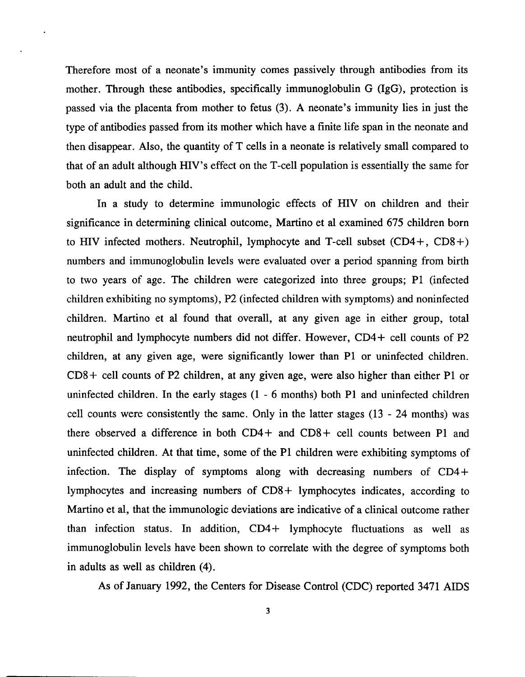Therefore most of a neonate's immunity comes passively through antibodies from its mother. Through these antibodies, specifically immunoglobulin G (IgG), protection is passed via the placenta from mother to fetus (3). A neonate's immunity lies in just the type of antibodies passed from its mother which have a finite life span in the neonate and then disappear. Also, the quantity of T cells in a neonate is relatively small compared to that of an adult although HIV's effect on the T-cell population is essentially the same for both an adult and the child.

In a study to determine immunologic effects of HIV on children and their significance in determining clinical outcome, Martino et al examined 675 children born to HIV infected mothers. Neutrophil, lymphocyte and T-cell subset  $(CD4+$ ,  $CD8+$ ) numbers and immunoglobulin levels were evaluated over a period spanning from birth to two years of age. The children were categorized into three groups; PI (infected children exhibiting no symptoms), P2 (infected children with symptoms) and noninfected children. Martino et al found that overall, at any given age in either group, total neutrophil and lymphocyte numbers did not differ. However, CD4 + cell counts of P2 children, at any given age, were significantly lower than PI or uninfected children. CDS+ cell counts of P2 children, at any given age, were also higher than either PI or uninfected children. In the early stages (1 - 6 months) both PI and uninfected children cell counts were consistently the same. Only in the latter stages (13 - 24 months) was there observed a difference in both CD4+ and CDS+ cell counts between PI and uninfected children. At that time, some of the PI children were exhibiting symptoms of infection. The display of symptoms along with decreasing numbers of  $CD4$ + lymphocytes and increasing numbers of CDS + lymphocytes indicates, according to Martino et al, that the immunologic deviations are indicative of a clinical outcome rather than infection status. In addition,  $CD4$  + lymphocyte fluctuations as well as immunoglobulin levels have been shown to correlate with the degree of symptoms both in adults as well as children (4).

As of January 1992, the Centers for Disease Control (CDC) reported 3471 AIDS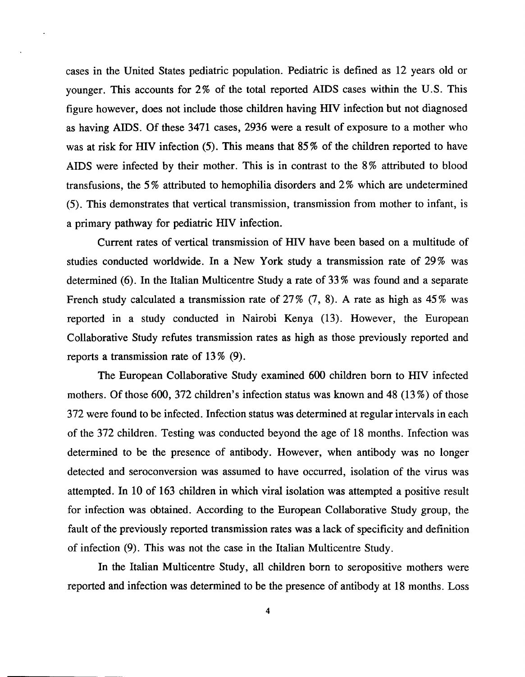cases in the United States pediatric population. Pediatric is defined as 12 years old or younger. This accounts for 2% of the total reported AIDS cases within the U.S. This figure however, does not include those children having HIV infection but not diagnosed as having AIDS. Of these 3471 cases, 2936 were a result of exposure to a mother who was at risk for HIV infection (5). This means that 85% of the children reported to have AIDS were infected by their mother. This is in contrast to the 8% attributed to blood transfusions, the 5 % attributed to hemophilia disorders and 2 % which are undetermined (5). This demonstrates that vertical transmission, transmission from mother to infant, is a primary pathway for pediatric HIV infection.

Current rates of vertical transmission of HIV have been based on a multitude of studies conducted worldwide. In a New York study a transmission rate of 29% was determined (6). In the Italian Multicentre Study a rate of 33 % was found and a separate French study calculated a transmission rate of  $27\%$  (7, 8). A rate as high as  $45\%$  was reported in a study conducted in Nairobi Kenya (13). However, the European Collaborative Study refutes transmission rates as high as those previously reported and reports a transmission rate of  $13\%$  (9).

The European Collaborative Study examined 600 children born to HIV infected mothers. Of those 600, 372 children's infection status was known and 48 (13 %) of those 372 were found to be infected. Infection status was determined at regular intervals in each of the 372 children. Testing was conducted beyond the age of 18 months. Infection was determined to be the presence of antibody. However, when antibody was no longer detected and seroconversion was assumed to have occurred, isolation of the virus was attempted. In 10 of 163 children in which viral isolation was attempted a positive result for infection was obtained. According to the European Collaborative Study group, the fault of the previously reported transmission rates was a lack of specificity and definition of infection (9). This was not the case in the Italian Multicentre Study.

In the Italian Multicentre Study, all children born to seropositive mothers were reported and infection was determined to be the presence of antibody at 18 months. Loss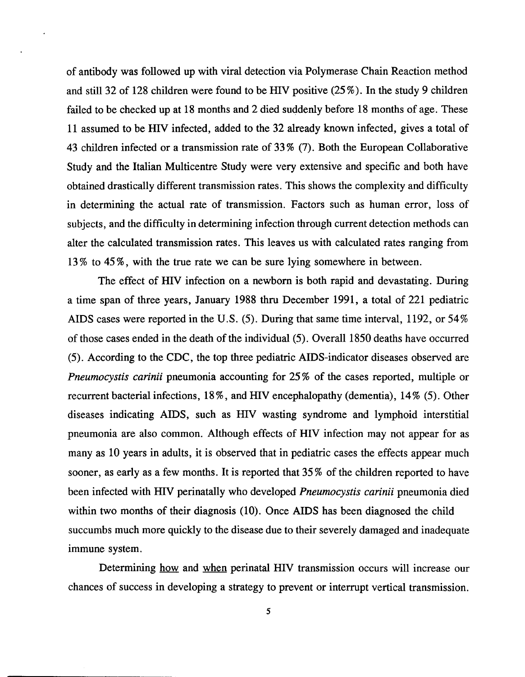of antibody was followed up with viral detection via Polymerase Chain Reaction method and still 32 of 128 children were found to be HIV positive (25 %). In the study 9 children failed to be checked up at 18 months and 2 died suddenly before 18 months of age. These 11 assumed to be HIV infected, added to the 32 already known infected, gives a total of 43 children infected or a transmission rate of 33 % (7). Both the European Collaborative Study and the Italian Multicentre Study were very extensive and specific and both have obtained drastically different transmission rates. This shows the complexity and difficulty in determining the actual rate of transmission. Factors such as human error, loss of subjects, and the difficulty in determining infection through current detection methods can alter the calculated transmission rates. This leaves us with calculated rates ranging from 13 % to 45 %, with the true rate we can be sure lying somewhere in between.

The effect of HIV infection on a newborn is both rapid and devastating. During a time span of three years, January 1988 thru December 1991, a total of 221 pediatric AIDS cases were reported in the U.S. (5). During that same time interval, 1192, or 54% of those cases ended in the death of the individual (5). Overall 1850 deaths have occurred (5). According to the CDC, the top three pediatric AIDS-indicator diseases observed are *Pneumocystis carinii* pneumonia accounting for 25% of the cases reported, multiple or recurrent bacterial infections, 18 %, and HIV encephalopathy (dementia), 14% (5). Other diseases indicating AIDS, such as HIV wasting syndrome and lymphoid interstitial pneumonia are also common. Although effects of HIV infection may not appear for as many as 10 years in adults, it is observed that in pediatric cases the effects appear much sooner, as early as a few months. It is reported that 35 % of the children reported to have been infected with HIV perinatally who developed *Pneumocystis carinii* pneumonia died within two months of their diagnosis (10). Once AIDS has been diagnosed the child succumbs much more quickly to the disease due to their severely damaged and inadequate immune system.

Determining how and when perinatal HIV transmission occurs will increase our chances of success in developing a strategy to prevent or interrupt vertical transmission.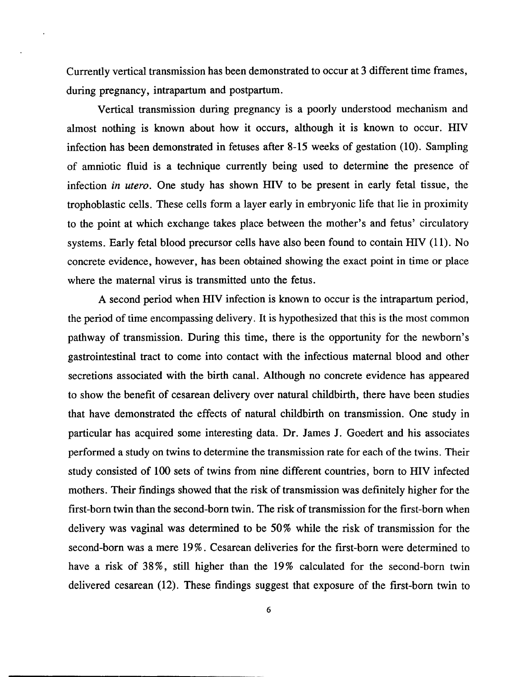Currently vertical transmission has been demonstrated to occur at 3 different time frames, during pregnancy, intrapartum and postpartum.

Vertical transmission during pregnancy is a poorly understood mechanism and almost nothing is known about how it occurs, although it is known to occur. HIV infection has been demonstrated in fetuses after 8-15 weeks of gestation (10). Sampling of amniotic fluid is a technique currently being used to determine the presence of infection *in utero.* One study has shown HIV to be present in early fetal tissue, the trophoblastic cells. These cells form a layer early in embryonic life that lie in proximity to the point at which exchange takes place between the mother's and fetus' circulatory systems. Early fetal blood precursor cells have also been found to contain HIV (11). No concrete evidence, however, has been obtained showing the exact point in time or place where the maternal virus is transmitted unto the fetus.

A second period when HIV infection is known to occur is the intrapartum period, the period of time encompassing delivery. It is hypothesized that this is the most common pathway of transmission. During this time, there is the opportunity for the newborn's gastrointestinal tract to come into contact with the infectious maternal blood and other secretions associated with the birth canal. Although no concrete evidence has appeared to show the benefit of cesarean delivery over natural childbirth, there have been studies that have demonstrated the effects of natural childbirth on transmission. One study in particular has acquired some interesting data. Dr. James J. Goedert and his associates performed a study on twins to determine the transmission rate for each of the twins. Their study consisted of 100 sets of twins from nine different countries, born to HIV infected mothers. Their findings showed that the risk of transmission was definitely higher for the first-born twin than the second-born twin. The risk of transmission for the first-born when delivery was vaginal was determined to be 50% while the risk of transmission for the second-born was a mere 19%. Cesarean deliveries for the first-born were determined to have a risk of 38%, still higher than the 19% calculated for the second-born twin delivered cesarean (12). These findings suggest that exposure of the first-born twin to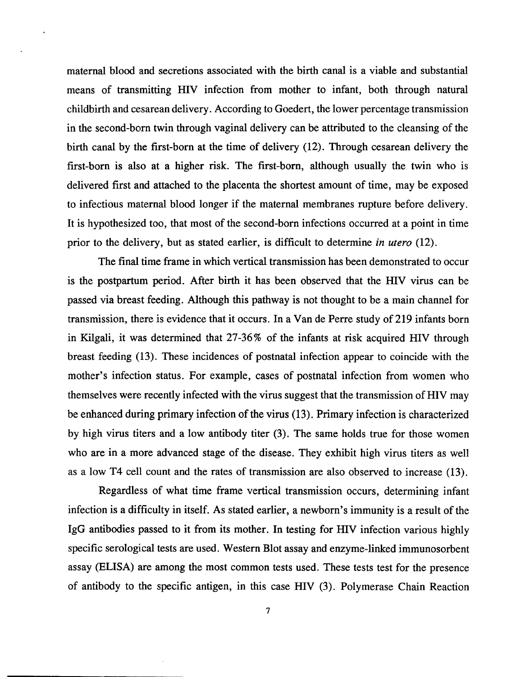maternal blood and secretions associated with the birth canal is a viable and substantial means of transmitting HIV infection from mother to infant, both through natural childbirth and cesarean delivery. According to Goedert, the lower percentage transmission in the second-born twin through vaginal delivery can be attributed to the cleansing of the birth canal by the first-born at the time of delivery (12). Through cesarean delivery the first-born is also at a higher risk. The first-born, although usually the twin who is delivered first and attached to the placenta the shortest amount of time, may be exposed to infectious maternal blood longer if the maternal membranes rupture before delivery. It is hypothesized too, that most of the second-born infections occurred at a point in time prior to the delivery, but as stated earlier, is difficult to determine *in utero* (12).

The final time frame in which vertical transmission has been demonstrated to occur is the postpartum period. After birth it has been observed that the HIV virus can be passed via breast feeding. Although this pathway is not thought to be a main channel for transmission, there is evidence that it occurs. In a Van de Perre study of219 infants born in Kilgali, it was determined that 27-36% of the infants at risk acquired HIV through breast feeding (13). These incidences of postnatal infection appear to coincide with the mother's infection status. For example, cases of postnatal infection from women who themselves were recently infected with the virus suggest that the transmission of HIV may be enhanced during primary infection of the virus (13). Primary infection is characterized by high virus titers and a low antibody titer (3). The same holds true for those women who are in a more advanced stage of the disease. They exhibit high virus titers as well as a low T4 cell count and the rates of transmission are also observed to increase (13).

Regardless of what time frame vertical transmission occurs, determining infant infection is a difficulty in itself. As stated earlier, a newborn's immunity is a result of the IgG antibodies passed to it from its mother. In testing for HIV infection various highly specific serological tests are used. Western Blot assay and enzyme-linked immunosorbent assay (ELISA) are among the most common tests used. These tests test for the presence of antibody to the specific antigen, in this case HIV (3). Polymerase Chain Reaction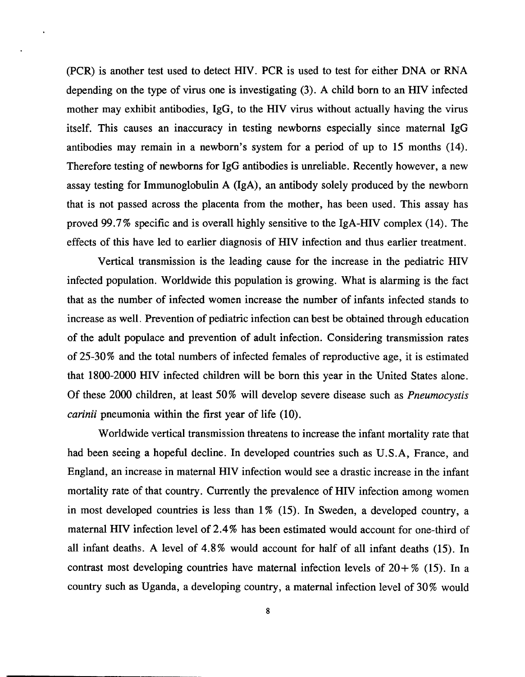(PCR) is another test used to detect HIV. PCR is used to test for either DNA or RNA depending on the type of virus one is investigating (3). A child born to an HIV infected mother may exhibit antibodies, IgG, to the HIV virus without actually having the virus itself. This causes an inaccuracy in testing newborns especially since maternal IgG antibodies may remain in a newborn's system for a period of up to 15 months (14). Therefore testing of newborns for IgG antibodies is unreliable. Recently however, a new assay testing for Immunoglobulin A (IgA), an antibody solely produced by the newborn that is not passed across the placenta from the mother, has been used. This assay has proved 99.7% specific and is overall highly sensitive to the IgA-HIV complex (14). The effects of this have led to earlier diagnosis of HIV infection and thus earlier treatment.

Vertical transmission is the leading cause for the increase in the pediatric HIV infected population. Worldwide this population is growing. What is alarming is the fact that as the number of infected women increase the number of infants infected stands to increase as well. Prevention of pediatric infection can best be obtained through education of the adult populace and prevention of adult infection. Considering transmission rates of 25-30% and the total numbers of infected females of reproductive age, it is estimated that 1800-2000 HIV infected children will be born this year in the United States alone. Of these 2000 children, at least 50 % will develop severe disease such as *Pneumocystis carinii* pneumonia within the first year of life (10).

Worldwide vertical transmission threatens to increase the infant mortality rate that had been seeing a hopeful decline. In developed countries such as U.S.A, France, and England, an increase in maternal HIV infection would see a drastic increase in the infant mortality rate of that country. Currently the prevalence of HIV infection among women in most developed countries is less than  $1\%$  (15). In Sweden, a developed country, a maternal HIV infection level of 2.4 % has been estimated would account for one-third of all infant deaths. A level of 4.8% would account for half of all infant deaths (15). In contrast most developing countries have maternal infection levels of  $20 + \%$  (15). In a country such as Uganda, a developing country, a maternal infection level of 30% would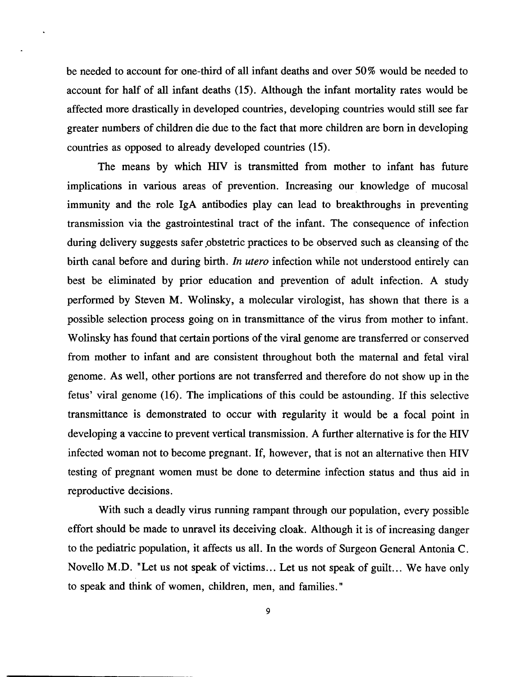be needed to account for one-third of all infant deaths and over 50 % would be needed to account for half of all infant deaths (15). Although the infant mortality rates would be affected more drastically in developed countries, developing countries would still see far greater numbers of children die due to the fact that more children are born in developing countries as opposed to already developed countries (15).

The means by which HIV is transmitted from mother to infant has future implications in various areas of prevention. Increasing our knowledge of mucosal immunity and the role IgA antibodies play can lead to breakthroughs in preventing transmission via the gastrointestinal tract of the infant. The consequence of infection during delivery suggests safer obstetric practices to be observed such as cleansing of the birth canal before and during birth. *In utero* infection while not understood entirely can best be eliminated by prior education and prevention of adult infection. A study performed by Steven M. Wolinsky, a molecular virologist, has shown that there is a possible selection process going on in transmittance of the virus from mother to infant. Wolinsky has found that certain portions of the viral genome are transferred or conserved from mother to infant and are consistent throughout both the maternal and fetal viral genome. As well, other portions are not transferred and therefore do not show up in the fetus' viral genome (16). The implications of this could be astounding. If this selective transmittance is demonstrated to occur with regularity it would be a focal point in developing a vaccine to prevent vertical transmission. A further alternative is for the HIV infected woman not to become pregnant. If, however, that is not an alternative then HIV testing of pregnant women must be done to determine infection status and thus aid in reproductive decisions.

With such a deadly virus running rampant through our population, every possible effort should be made to unravel its deceiving cloak. Although it is of increasing danger to the pediatric population, it affects us all. In the words of Surgeon General Antonia C. Novello M.D. "Let us not speak of victims ... Let us not speak of guilt... We have only to speak and think of women, children, men, and families."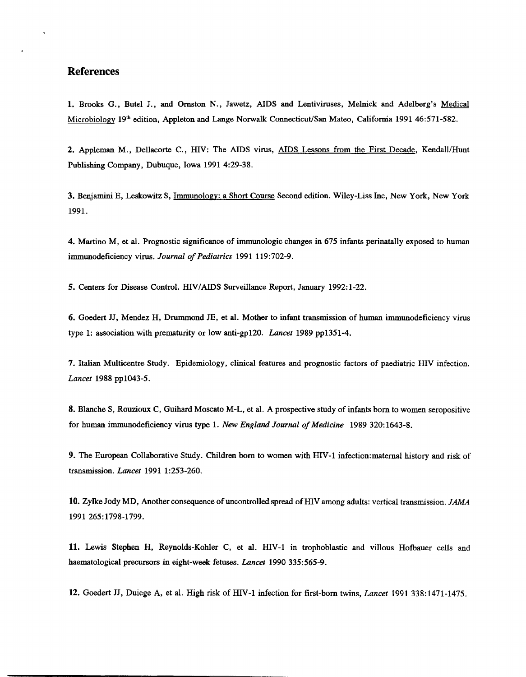## **References**

 $\ddot{\phantom{a}}$ 

1. Brooks G., Butel J., and Ornston N., Jawetz, AIDS and Lentiviruses, Melnick and Adelberg's Medical Microbiology 19<sup>th</sup> edition, Appleton and Lange Norwalk Connecticut/San Mateo, California 1991 46:571-582.

2. Appleman M., Dellacorte C., HIV: The AIDS virus, AIDS Lessons from the First Decade, Kendall/Hunt Publishing Company, Dubuque, Iowa 1991 4:29-38.

3. Benjamini E, Leskowitz S, Immunology: a Short Course Second edition. Wiley-Liss Inc, New York, New York 1991.

4. Martino M, et al. Prognostic significance of immunologic changes in 675 infants perinatally exposed to human immunodeficiency virus. *Journal of Pediatrics* 1991 119:702-9.

5. Centers for Disease Control. HIV/AIDS Surveillance Report, January 1992:1-22.

6. Goedert JJ, Mendez H, Drummond JE, et al. Mother to infant transmission of human immunodeficiency virus type 1: association with prematurity or 10wanti-gp120. *Lancet* 1989 pp1351-4.

7. Italian Multicentre Study. Epidemiology, clinical features and prognostic factors of paediatric HIV infection. *Lancet* 1988 ppl043-5.

8. Blanche S, Rouzioux C, Guihard Moscato M-L, et al. A prospective study of infants born to women seropositive for human immunodeficiency virus type 1. *New England Journal of Medicine* 1989 320: 1643-8.

9. The European Collaborative Study. Children born to women with HIV-l infection:matemal history and risk of transmission. *Lancet* 1991 1:253-260.

10. Zylke *Iody* MD, Another consequence of uncontrolled spread of HI V among adults: vertical transmission. *JAMA*  1991265:1798-1799.

11. Lewis Stephen H, Reynolds-Kohler C, et al. HIV-l in trophoblastic and villous Hofbauer cells and haematological precursors in eight-week fetuses. *Lancet* 1990 335:565-9.

12. Goedert JJ, Duiege A, et al. High risk ofHIV-l infection for first-born twins, *Lancet* 1991 338:1471-1475.